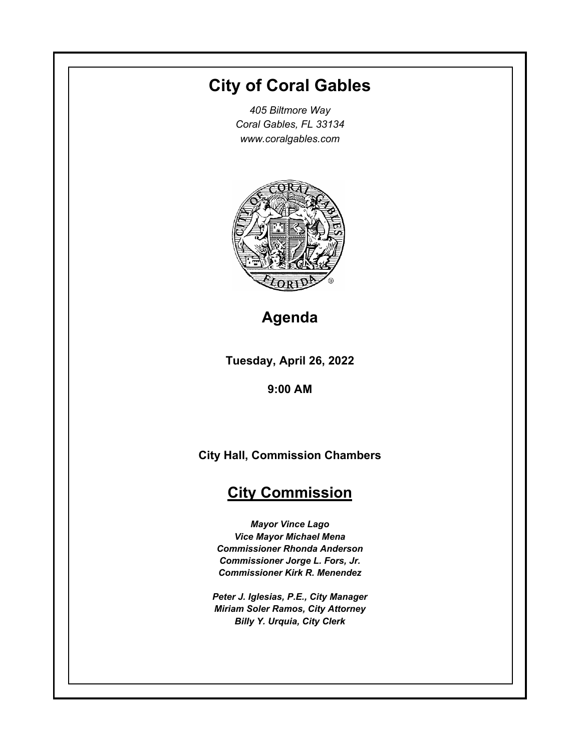# **City of Coral Gables**

*405 Biltmore Way Coral Gables, FL 33134 www.coralgables.com*



**Agenda**

**Tuesday, April 26, 2022**

**9:00 AM**

**City Hall, Commission Chambers**

## **City Commission**

*Mayor Vince Lago Vice Mayor Michael Mena Commissioner Rhonda Anderson Commissioner Jorge L. Fors, Jr. Commissioner Kirk R. Menendez*

*Peter J. Iglesias, P.E., City Manager Miriam Soler Ramos, City Attorney Billy Y. Urquia, City Clerk*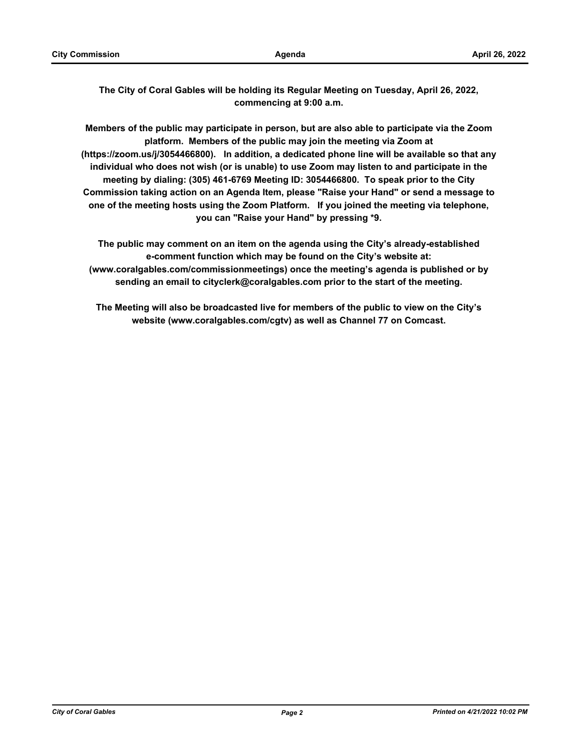**The City of Coral Gables will be holding its Regular Meeting on Tuesday, April 26, 2022, commencing at 9:00 a.m.** 

**Members of the public may participate in person, but are also able to participate via the Zoom platform. Members of the public may join the meeting via Zoom at (https://zoom.us/j/3054466800). In addition, a dedicated phone line will be available so that any individual who does not wish (or is unable) to use Zoom may listen to and participate in the meeting by dialing: (305) 461-6769 Meeting ID: 3054466800. To speak prior to the City Commission taking action on an Agenda Item, please "Raise your Hand" or send a message to one of the meeting hosts using the Zoom Platform. If you joined the meeting via telephone, you can "Raise your Hand" by pressing \*9.**

**The public may comment on an item on the agenda using the City's already-established e-comment function which may be found on the City's website at: (www.coralgables.com/commissionmeetings) once the meeting's agenda is published or by sending an email to cityclerk@coralgables.com prior to the start of the meeting.** 

**The Meeting will also be broadcasted live for members of the public to view on the City's website (www.coralgables.com/cgtv) as well as Channel 77 on Comcast.**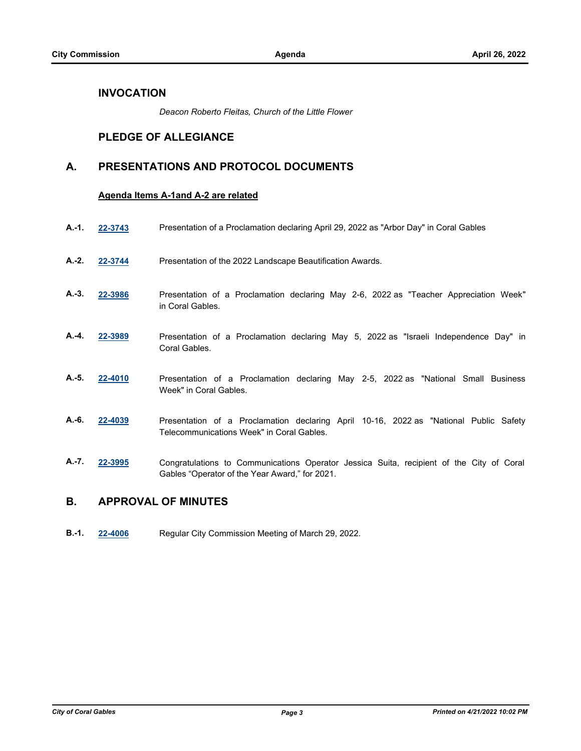### **INVOCATION**

*Deacon Roberto Fleitas, Church of the Little Flower*

## **PLEDGE OF ALLEGIANCE**

## **A. PRESENTATIONS AND PROTOCOL DOCUMENTS**

#### **Agenda Items A-1and A-2 are related**

- **A.-1. [22-3743](http://coralgables.legistar.com/gateway.aspx?m=l&id=22385)** Presentation of a Proclamation declaring April 29, 2022 as "Arbor Day" in Coral Gables
- **A.-2. [22-3744](http://coralgables.legistar.com/gateway.aspx?m=l&id=22386)** Presentation of the 2022 Landscape Beautification Awards.
- **A.-3. [22-3986](http://coralgables.legistar.com/gateway.aspx?m=l&id=22626)** Presentation of a Proclamation declaring May 2-6, 2022 as "Teacher Appreciation Week" in Coral Gables.
- **A.-4. [22-3989](http://coralgables.legistar.com/gateway.aspx?m=l&id=22629)** Presentation of a Proclamation declaring May 5, 2022 as "Israeli Independence Day" in Coral Gables.
- **A.-5. [22-4010](http://coralgables.legistar.com/gateway.aspx?m=l&id=22650)** Presentation of a Proclamation declaring May 2-5, 2022 as "National Small Business Week" in Coral Gables.
- **A.-6. [22-4039](http://coralgables.legistar.com/gateway.aspx?m=l&id=22679)** Presentation of a Proclamation declaring April 10-16, 2022 as "National Public Safety Telecommunications Week" in Coral Gables.
- **A.-7. [22-3995](http://coralgables.legistar.com/gateway.aspx?m=l&id=22635)** Congratulations to Communications Operator Jessica Suita, recipient of the City of Coral Gables "Operator of the Year Award," for 2021.

## **B. APPROVAL OF MINUTES**

**B.-1. [22-4006](http://coralgables.legistar.com/gateway.aspx?m=l&id=22646)** Regular City Commission Meeting of March 29, 2022.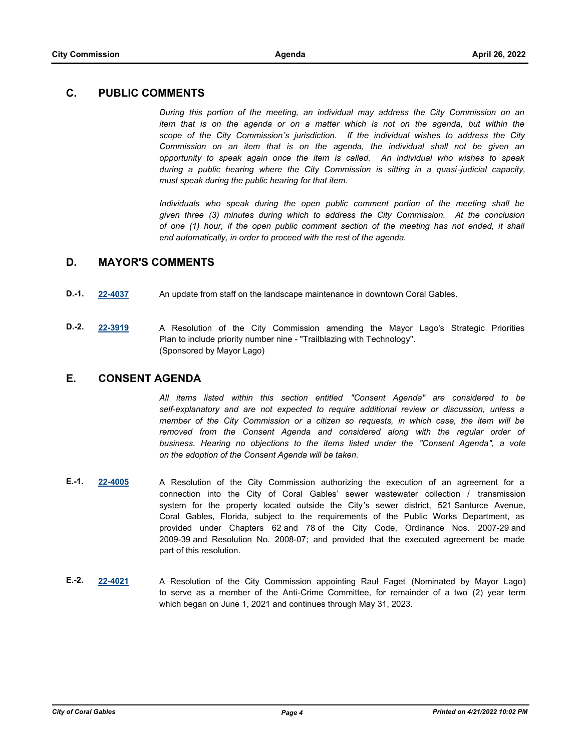## **C. PUBLIC COMMENTS**

*During this portion of the meeting, an individual may address the City Commission on an item that is on the agenda or on a matter which is not on the agenda, but within the scope of the City Commission's jurisdiction. If the individual wishes to address the City Commission on an item that is on the agenda, the individual shall not be given an opportunity to speak again once the item is called. An individual who wishes to speak during a public hearing where the City Commission is sitting in a quasi-judicial capacity, must speak during the public hearing for that item.* 

*Individuals who speak during the open public comment portion of the meeting shall be given three (3) minutes during which to address the City Commission. At the conclusion of one (1) hour, if the open public comment section of the meeting has not ended, it shall end automatically, in order to proceed with the rest of the agenda.*

## **D. MAYOR'S COMMENTS**

- **D.-1. [22-4037](http://coralgables.legistar.com/gateway.aspx?m=l&id=22677)** An update from staff on the landscape maintenance in downtown Coral Gables.
- **D.-2. [22-3919](http://coralgables.legistar.com/gateway.aspx?m=l&id=22560)** A Resolution of the City Commission amending the Mayor Lago's Strategic Priorities Plan to include priority number nine - "Trailblazing with Technology". (Sponsored by Mayor Lago)

## **E. CONSENT AGENDA**

*All items listed within this section entitled "Consent Agenda" are considered to be self-explanatory and are not expected to require additional review or discussion, unless a member of the City Commission or a citizen so requests, in which case, the item will be*  removed from the Consent Agenda and considered along with the regular order of *business. Hearing no objections to the items listed under the "Consent Agenda", a vote on the adoption of the Consent Agenda will be taken.*

- **E.-1. [22-4005](http://coralgables.legistar.com/gateway.aspx?m=l&id=22645)** A Resolution of the City Commission authorizing the execution of an agreement for a connection into the City of Coral Gables' sewer wastewater collection / transmission system for the property located outside the City's sewer district, 521 Santurce Avenue, Coral Gables, Florida, subject to the requirements of the Public Works Department, as provided under Chapters 62 and 78 of the City Code, Ordinance Nos. 2007-29 and 2009-39 and Resolution No. 2008-07; and provided that the executed agreement be made part of this resolution.
- **E.-2. [22-4021](http://coralgables.legistar.com/gateway.aspx?m=l&id=22661)** A Resolution of the City Commission appointing Raul Faget (Nominated by Mayor Lago) to serve as a member of the Anti-Crime Committee, for remainder of a two (2) year term which began on June 1, 2021 and continues through May 31, 2023.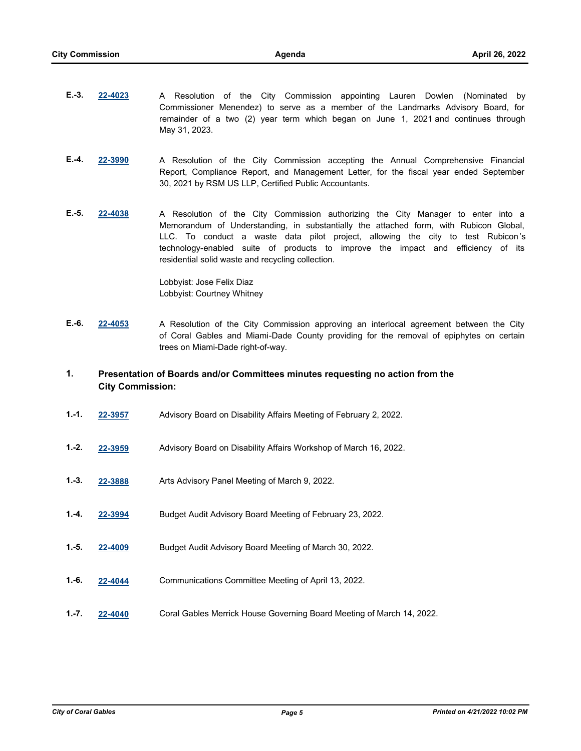- **E.-3. [22-4023](http://coralgables.legistar.com/gateway.aspx?m=l&id=22663)** A Resolution of the City Commission appointing Lauren Dowlen (Nominated by Commissioner Menendez) to serve as a member of the Landmarks Advisory Board, for remainder of a two (2) year term which began on June 1, 2021 and continues through May 31, 2023.
- **E.-4. [22-3990](http://coralgables.legistar.com/gateway.aspx?m=l&id=22630)** A Resolution of the City Commission accepting the Annual Comprehensive Financial Report, Compliance Report, and Management Letter, for the fiscal year ended September 30, 2021 by RSM US LLP, Certified Public Accountants.
- **E.-5. [22-4038](http://coralgables.legistar.com/gateway.aspx?m=l&id=22678)** A Resolution of the City Commission authorizing the City Manager to enter into a Memorandum of Understanding, in substantially the attached form, with Rubicon Global, LLC. To conduct a waste data pilot project, allowing the city to test Rubicon 's technology-enabled suite of products to improve the impact and efficiency of its residential solid waste and recycling collection.

Lobbyist: Jose Felix Diaz Lobbyist: Courtney Whitney

- **E.-6. [22-4053](http://coralgables.legistar.com/gateway.aspx?m=l&id=22693)** A Resolution of the City Commission approving an interlocal agreement between the City of Coral Gables and Miami-Dade County providing for the removal of epiphytes on certain trees on Miami-Dade right-of-way.
- **1. Presentation of Boards and/or Committees minutes requesting no action from the City Commission:**
- **1.-1. [22-3957](http://coralgables.legistar.com/gateway.aspx?m=l&id=22598)** Advisory Board on Disability Affairs Meeting of February 2, 2022.
- **1.-2. [22-3959](http://coralgables.legistar.com/gateway.aspx?m=l&id=22600)** Advisory Board on Disability Affairs Workshop of March 16, 2022.
- **1.-3. [22-3888](http://coralgables.legistar.com/gateway.aspx?m=l&id=22529)** Arts Advisory Panel Meeting of March 9, 2022.
- **1.-4. [22-3994](http://coralgables.legistar.com/gateway.aspx?m=l&id=22634)** Budget Audit Advisory Board Meeting of February 23, 2022.
- **1.-5. [22-4009](http://coralgables.legistar.com/gateway.aspx?m=l&id=22649)** Budget Audit Advisory Board Meeting of March 30, 2022.
- **1.-6. [22-4044](http://coralgables.legistar.com/gateway.aspx?m=l&id=22684)** Communications Committee Meeting of April 13, 2022.
- **1.-7. [22-4040](http://coralgables.legistar.com/gateway.aspx?m=l&id=22680)** Coral Gables Merrick House Governing Board Meeting of March 14, 2022.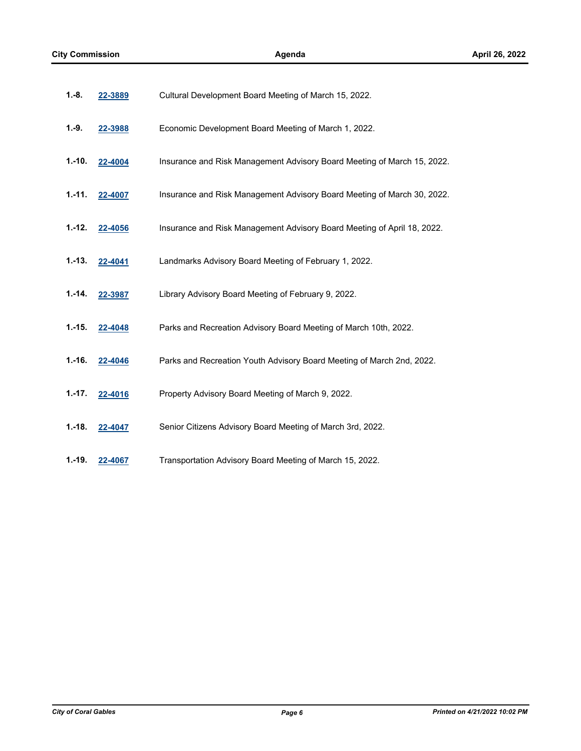| 1.-8.      | 22-3889 | Cultural Development Board Meeting of March 15, 2022.                   |
|------------|---------|-------------------------------------------------------------------------|
| $1.-9.$    | 22-3988 | Economic Development Board Meeting of March 1, 2022.                    |
| $1.-10.$   | 22-4004 | Insurance and Risk Management Advisory Board Meeting of March 15, 2022. |
| $1. - 11.$ | 22-4007 | Insurance and Risk Management Advisory Board Meeting of March 30, 2022. |
| $1.-12.$   | 22-4056 | Insurance and Risk Management Advisory Board Meeting of April 18, 2022. |
| $1.-13.$   | 22-4041 | Landmarks Advisory Board Meeting of February 1, 2022.                   |
| $1.-14.$   | 22-3987 | Library Advisory Board Meeting of February 9, 2022.                     |
| $1.-15.$   | 22-4048 | Parks and Recreation Advisory Board Meeting of March 10th, 2022.        |
| $1.-16.$   | 22-4046 | Parks and Recreation Youth Advisory Board Meeting of March 2nd, 2022.   |
| $1.-17.$   | 22-4016 | Property Advisory Board Meeting of March 9, 2022.                       |
| $1.-18.$   | 22-4047 | Senior Citizens Advisory Board Meeting of March 3rd, 2022.              |
| 1.-19.     | 22-4067 | Transportation Advisory Board Meeting of March 15, 2022.                |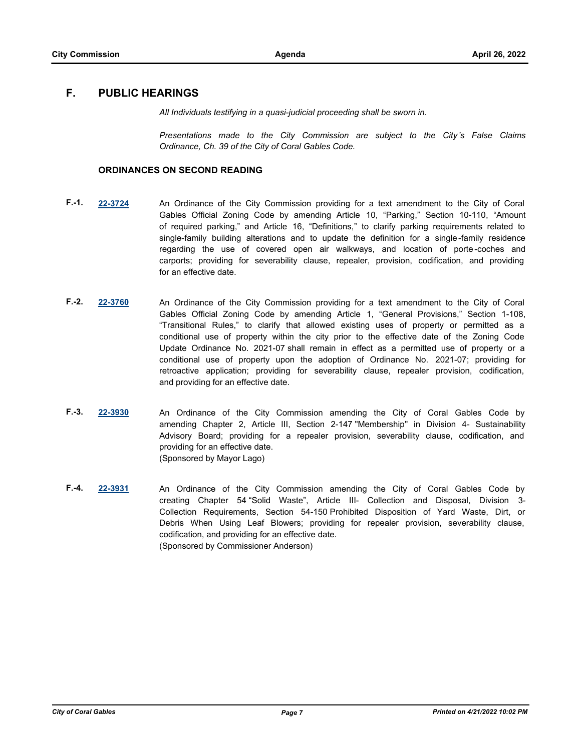## **F. PUBLIC HEARINGS**

*All Individuals testifying in a quasi-judicial proceeding shall be sworn in.* 

*Presentations made to the City Commission are subject to the City's False Claims Ordinance, Ch. 39 of the City of Coral Gables Code.*

#### **ORDINANCES ON SECOND READING**

- **F.-1. [22-3724](http://coralgables.legistar.com/gateway.aspx?m=l&id=22366)** An Ordinance of the City Commission providing for a text amendment to the City of Coral Gables Official Zoning Code by amending Article 10, "Parking," Section 10-110, "Amount of required parking," and Article 16, "Definitions," to clarify parking requirements related to single-family building alterations and to update the definition for a single -family residence regarding the use of covered open air walkways, and location of porte -coches and carports; providing for severability clause, repealer, provision, codification, and providing for an effective date.
- **F.-2. [22-3760](http://coralgables.legistar.com/gateway.aspx?m=l&id=22402)** An Ordinance of the City Commission providing for a text amendment to the City of Coral Gables Official Zoning Code by amending Article 1, "General Provisions," Section 1-108, "Transitional Rules," to clarify that allowed existing uses of property or permitted as a conditional use of property within the city prior to the effective date of the Zoning Code Update Ordinance No. 2021-07 shall remain in effect as a permitted use of property or a conditional use of property upon the adoption of Ordinance No. 2021-07; providing for retroactive application; providing for severability clause, repealer provision, codification, and providing for an effective date.
- **F.-3. [22-3930](http://coralgables.legistar.com/gateway.aspx?m=l&id=22571)** An Ordinance of the City Commission amending the City of Coral Gables Code by amending Chapter 2, Article III, Section 2-147 "Membership" in Division 4- Sustainability Advisory Board; providing for a repealer provision, severability clause, codification, and providing for an effective date. (Sponsored by Mayor Lago)
- **F.-4. [22-3931](http://coralgables.legistar.com/gateway.aspx?m=l&id=22572)** An Ordinance of the City Commission amending the City of Coral Gables Code by creating Chapter 54 "Solid Waste", Article III- Collection and Disposal, Division 3- Collection Requirements, Section 54-150 Prohibited Disposition of Yard Waste, Dirt, or Debris When Using Leaf Blowers; providing for repealer provision, severability clause, codification, and providing for an effective date. (Sponsored by Commissioner Anderson)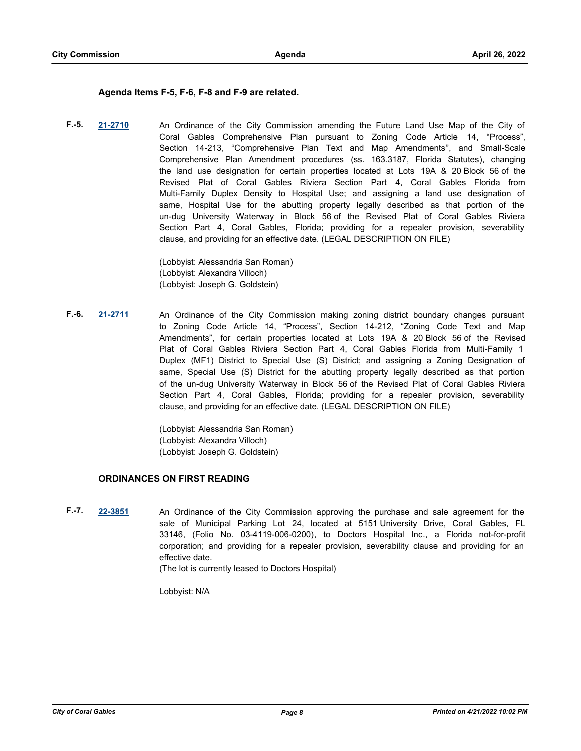#### **Agenda Items F-5, F-6, F-8 and F-9 are related.**

**F.-5. [21-2710](http://coralgables.legistar.com/gateway.aspx?m=l&id=18367)** An Ordinance of the City Commission amending the Future Land Use Map of the City of Coral Gables Comprehensive Plan pursuant to Zoning Code Article 14, "Process", Section 14-213, "Comprehensive Plan Text and Map Amendments", and Small-Scale Comprehensive Plan Amendment procedures (ss. 163.3187, Florida Statutes), changing the land use designation for certain properties located at Lots 19A & 20 Block 56 of the Revised Plat of Coral Gables Riviera Section Part 4, Coral Gables Florida from Multi-Family Duplex Density to Hospital Use; and assigning a land use designation of same, Hospital Use for the abutting property legally described as that portion of the un-dug University Waterway in Block 56 of the Revised Plat of Coral Gables Riviera Section Part 4, Coral Gables, Florida; providing for a repealer provision, severability clause, and providing for an effective date. (LEGAL DESCRIPTION ON FILE)

> (Lobbyist: Alessandria San Roman) (Lobbyist: Alexandra Villoch) (Lobbyist: Joseph G. Goldstein)

**F.-6. [21-2711](http://coralgables.legistar.com/gateway.aspx?m=l&id=18368)** An Ordinance of the City Commission making zoning district boundary changes pursuant to Zoning Code Article 14, "Process", Section 14-212, "Zoning Code Text and Map Amendments", for certain properties located at Lots 19A & 20 Block 56 of the Revised Plat of Coral Gables Riviera Section Part 4, Coral Gables Florida from Multi-Family 1 Duplex (MF1) District to Special Use (S) District; and assigning a Zoning Designation of same, Special Use (S) District for the abutting property legally described as that portion of the un-dug University Waterway in Block 56 of the Revised Plat of Coral Gables Riviera Section Part 4, Coral Gables, Florida; providing for a repealer provision, severability clause, and providing for an effective date. (LEGAL DESCRIPTION ON FILE)

> (Lobbyist: Alessandria San Roman) (Lobbyist: Alexandra Villoch) (Lobbyist: Joseph G. Goldstein)

#### **ORDINANCES ON FIRST READING**

**F.-7. [22-3851](http://coralgables.legistar.com/gateway.aspx?m=l&id=22493)** An Ordinance of the City Commission approving the purchase and sale agreement for the sale of Municipal Parking Lot 24, located at 5151 University Drive, Coral Gables, FL 33146, (Folio No. 03-4119-006-0200), to Doctors Hospital Inc., a Florida not-for-profit corporation; and providing for a repealer provision, severability clause and providing for an effective date.

(The lot is currently leased to Doctors Hospital)

Lobbyist: N/A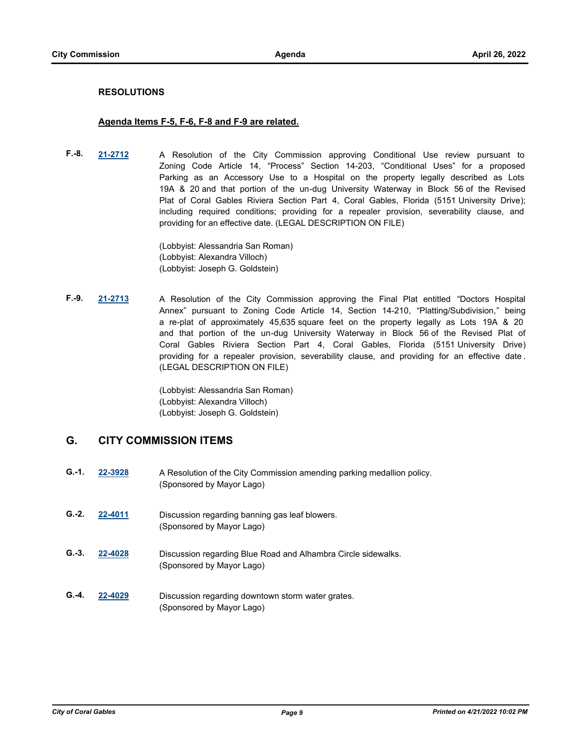#### **RESOLUTIONS**

#### **Agenda Items F-5, F-6, F-8 and F-9 are related.**

**F.-8. [21-2712](http://coralgables.legistar.com/gateway.aspx?m=l&id=18369)** A Resolution of the City Commission approving Conditional Use review pursuant to Zoning Code Article 14, "Process" Section 14-203, "Conditional Uses" for a proposed Parking as an Accessory Use to a Hospital on the property legally described as Lots 19A & 20 and that portion of the un-dug University Waterway in Block 56 of the Revised Plat of Coral Gables Riviera Section Part 4, Coral Gables, Florida (5151 University Drive); including required conditions; providing for a repealer provision, severability clause, and providing for an effective date. (LEGAL DESCRIPTION ON FILE)

> (Lobbyist: Alessandria San Roman) (Lobbyist: Alexandra Villoch) (Lobbyist: Joseph G. Goldstein)

**F.-9. [21-2713](http://coralgables.legistar.com/gateway.aspx?m=l&id=18370)** A Resolution of the City Commission approving the Final Plat entitled "Doctors Hospital Annex" pursuant to Zoning Code Article 14, Section 14-210, "Platting/Subdivision," being a re-plat of approximately 45,635 square feet on the property legally as Lots 19A & 20 and that portion of the un-dug University Waterway in Block 56 of the Revised Plat of Coral Gables Riviera Section Part 4, Coral Gables, Florida (5151 University Drive) providing for a repealer provision, severability clause, and providing for an effective date . (LEGAL DESCRIPTION ON FILE)

> (Lobbyist: Alessandria San Roman) (Lobbyist: Alexandra Villoch) (Lobbyist: Joseph G. Goldstein)

## **G. CITY COMMISSION ITEMS**

- **G.-1. [22-3928](http://coralgables.legistar.com/gateway.aspx?m=l&id=22569)** A Resolution of the City Commission amending parking medallion policy. (Sponsored by Mayor Lago)
- **G.-2. [22-4011](http://coralgables.legistar.com/gateway.aspx?m=l&id=22651)** Discussion regarding banning gas leaf blowers. (Sponsored by Mayor Lago)
- **G.-3. [22-4028](http://coralgables.legistar.com/gateway.aspx?m=l&id=22668)** Discussion regarding Blue Road and Alhambra Circle sidewalks. (Sponsored by Mayor Lago)
- **G.-4. [22-4029](http://coralgables.legistar.com/gateway.aspx?m=l&id=22669)** Discussion regarding downtown storm water grates. (Sponsored by Mayor Lago)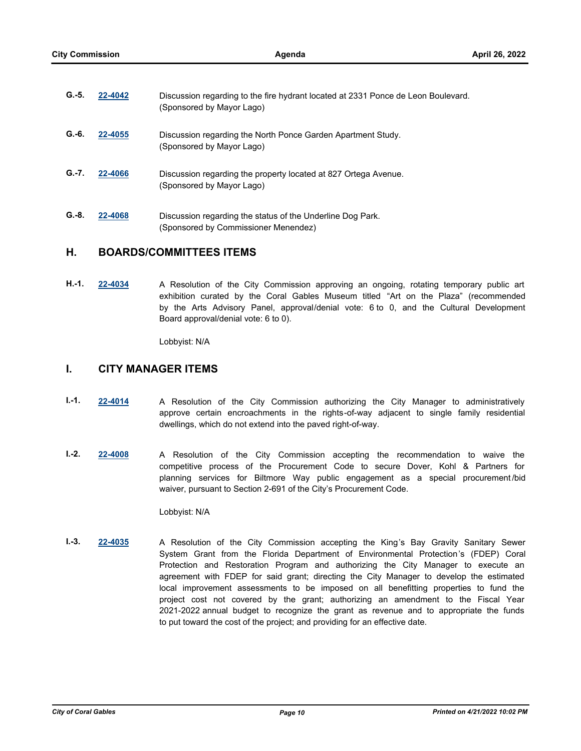| $G.-5.$ | 22-4042 | Discussion regarding to the fire hydrant located at 2331 Ponce de Leon Boulevard.<br>(Sponsored by Mayor Lago) |
|---------|---------|----------------------------------------------------------------------------------------------------------------|
| $G.-6.$ | 22-4055 | Discussion regarding the North Ponce Garden Apartment Study.<br>(Sponsored by Mayor Lago)                      |
| $G.-7.$ | 22-4066 | Discussion regarding the property located at 827 Ortega Avenue.<br>(Sponsored by Mayor Lago)                   |
| $G.-8.$ | 22-4068 | Discussion regarding the status of the Underline Dog Park.<br>(Sponsored by Commissioner Menendez)             |

#### **H. BOARDS/COMMITTEES ITEMS**

**H.-1. [22-4034](http://coralgables.legistar.com/gateway.aspx?m=l&id=22674)** A Resolution of the City Commission approving an ongoing, rotating temporary public art exhibition curated by the Coral Gables Museum titled "Art on the Plaza" (recommended by the Arts Advisory Panel, approval/denial vote: 6 to 0, and the Cultural Development Board approval/denial vote: 6 to 0).

Lobbyist: N/A

#### **I. CITY MANAGER ITEMS**

- **I.-1. [22-4014](http://coralgables.legistar.com/gateway.aspx?m=l&id=22654)** A Resolution of the City Commission authorizing the City Manager to administratively approve certain encroachments in the rights-of-way adjacent to single family residential dwellings, which do not extend into the paved right-of-way.
- **I.-2. [22-4008](http://coralgables.legistar.com/gateway.aspx?m=l&id=22648)** A Resolution of the City Commission accepting the recommendation to waive the competitive process of the Procurement Code to secure Dover, Kohl & Partners for planning services for Biltmore Way public engagement as a special procurement /bid waiver, pursuant to Section 2-691 of the City's Procurement Code.

Lobbyist: N/A

**I.-3. [22-4035](http://coralgables.legistar.com/gateway.aspx?m=l&id=22675)** A Resolution of the City Commission accepting the King's Bay Gravity Sanitary Sewer System Grant from the Florida Department of Environmental Protection's (FDEP) Coral Protection and Restoration Program and authorizing the City Manager to execute an agreement with FDEP for said grant; directing the City Manager to develop the estimated local improvement assessments to be imposed on all benefitting properties to fund the project cost not covered by the grant; authorizing an amendment to the Fiscal Year 2021-2022 annual budget to recognize the grant as revenue and to appropriate the funds to put toward the cost of the project; and providing for an effective date.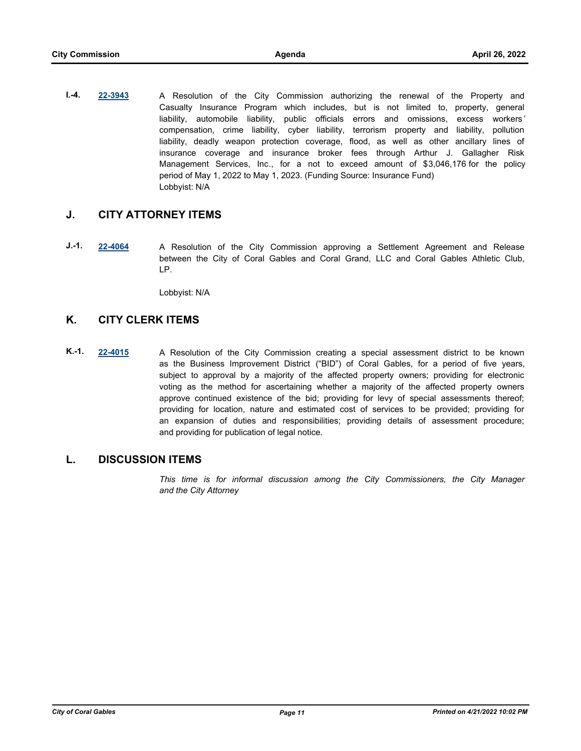**I.-4. [22-3943](http://coralgables.legistar.com/gateway.aspx?m=l&id=22584)** A Resolution of the City Commission authorizing the renewal of the Property and Casualty Insurance Program which includes, but is not limited to, property, general liability, automobile liability, public officials errors and omissions, excess workers ' compensation, crime liability, cyber liability, terrorism property and liability, pollution liability, deadly weapon protection coverage, flood, as well as other ancillary lines of insurance coverage and insurance broker fees through Arthur J. Gallagher Risk Management Services, Inc., for a not to exceed amount of \$3,046,176 for the policy period of May 1, 2022 to May 1, 2023. (Funding Source: Insurance Fund) Lobbyist: N/A

## **J. CITY ATTORNEY ITEMS**

**J.-1. [22-4064](http://coralgables.legistar.com/gateway.aspx?m=l&id=22704)** A Resolution of the City Commission approving a Settlement Agreement and Release between the City of Coral Gables and Coral Grand, LLC and Coral Gables Athletic Club, LP.

Lobbyist: N/A

## **K. CITY CLERK ITEMS**

**K.-1. [22-4015](http://coralgables.legistar.com/gateway.aspx?m=l&id=22655)** A Resolution of the City Commission creating a special assessment district to be known as the Business Improvement District ("BID") of Coral Gables, for a period of five years, subject to approval by a majority of the affected property owners; providing for electronic voting as the method for ascertaining whether a majority of the affected property owners approve continued existence of the bid; providing for levy of special assessments thereof; providing for location, nature and estimated cost of services to be provided; providing for an expansion of duties and responsibilities; providing details of assessment procedure; and providing for publication of legal notice.

## **L. DISCUSSION ITEMS**

*This time is for informal discussion among the City Commissioners, the City Manager and the City Attorney*